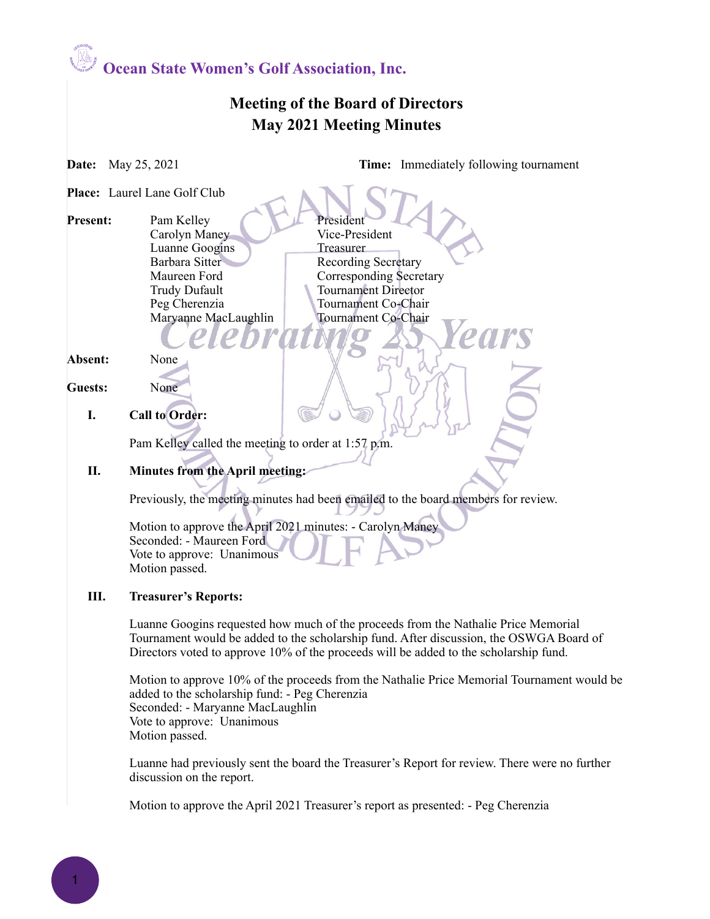### **Meeting of the Board of Directors May 2021 Meeting Minutes**

**Date:** May 25, 2021 **Time:** Immediately following tournament

**Place:** Laurel Lane Golf Club

Present: Pam Kelley President<br>Carolyn Maney Vice-President Carolyn Maney Luanne Googins Treasurer Barbara Sitter Recording Secretary Maureen Ford Corresponding Secretary Trudy Dufault Tournament Director Peg Cherenzia Tournament Co-Chair Maryanne MacLaughlin Tournament Co-Chair

**Absent:** None

**Guests:** None

**I. Call to Order:** 

Pam Kelley called the meeting to order at 1:57 p.m.

#### **II. Minutes from the April meeting:**

Previously, the meeting minutes had been emailed to the board members for review.

Motion to approve the April 2021 minutes: - Carolyn Maney Seconded: - Maureen Ford Vote to approve: Unanimous Motion passed.

#### **III. Treasurer's Reports:**

Luanne Googins requested how much of the proceeds from the Nathalie Price Memorial Tournament would be added to the scholarship fund. After discussion, the OSWGA Board of Directors voted to approve 10% of the proceeds will be added to the scholarship fund.

Motion to approve 10% of the proceeds from the Nathalie Price Memorial Tournament would be added to the scholarship fund: - Peg Cherenzia Seconded: - Maryanne MacLaughlin Vote to approve: Unanimous Motion passed.

Luanne had previously sent the board the Treasurer's Report for review. There were no further discussion on the report.

Motion to approve the April 2021 Treasurer's report as presented: - Peg Cherenzia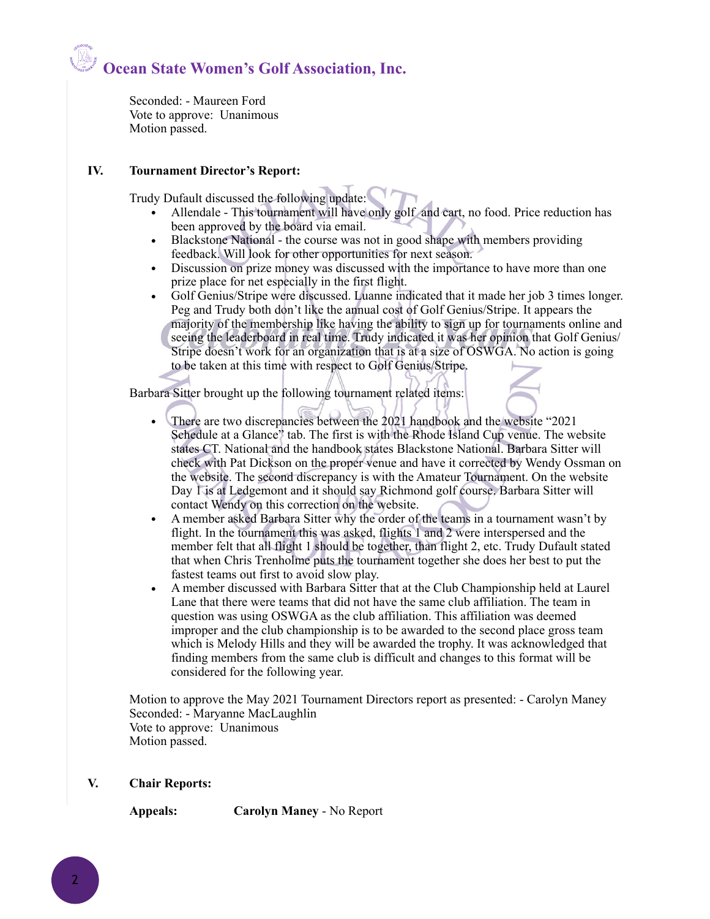Seconded: - Maureen Ford Vote to approve: Unanimous Motion passed.

#### **IV. Tournament Director's Report:**

Trudy Dufault discussed the following update:

- Allendale This tournament will have only golf and cart, no food. Price reduction has been approved by the board via email.
- Blackstone National the course was not in good shape with members providing feedback. Will look for other opportunities for next season.
- Discussion on prize money was discussed with the importance to have more than one prize place for net especially in the first flight.
- Golf Genius/Stripe were discussed. Luanne indicated that it made her job 3 times longer. Peg and Trudy both don't like the annual cost of Golf Genius/Stripe. It appears the majority of the membership like having the ability to sign up for tournaments online and seeing the leaderboard in real time. Trudy indicated it was her opinion that Golf Genius/ Stripe doesn't work for an organization that is at a size of OSWGA. No action is going to be taken at this time with respect to Golf Genius/Stripe.

Barbara Sitter brought up the following tournament related items:

- There are two discrepancies between the 2021 handbook and the website "2021" Schedule at a Glance" tab. The first is with the Rhode Island Cup venue. The website states CT. National and the handbook states Blackstone National. Barbara Sitter will check with Pat Dickson on the proper venue and have it corrected by Wendy Ossman on the website. The second discrepancy is with the Amateur Tournament. On the website Day 1 is at Ledgemont and it should say Richmond golf course. Barbara Sitter will contact Wendy on this correction on the website.
- A member asked Barbara Sitter why the order of the teams in a tournament wasn't by flight. In the tournament this was asked, flights 1 and 2 were interspersed and the member felt that all flight 1 should be together, than flight 2, etc. Trudy Dufault stated that when Chris Trenholme puts the tournament together she does her best to put the fastest teams out first to avoid slow play.
- A member discussed with Barbara Sitter that at the Club Championship held at Laurel Lane that there were teams that did not have the same club affiliation. The team in question was using OSWGA as the club affiliation. This affiliation was deemed improper and the club championship is to be awarded to the second place gross team which is Melody Hills and they will be awarded the trophy. It was acknowledged that finding members from the same club is difficult and changes to this format will be considered for the following year.

Motion to approve the May 2021 Tournament Directors report as presented: - Carolyn Maney Seconded: - Maryanne MacLaughlin Vote to approve: Unanimous Motion passed.

#### **V. Chair Reports:**

**Appeals: Carolyn Maney** - No Report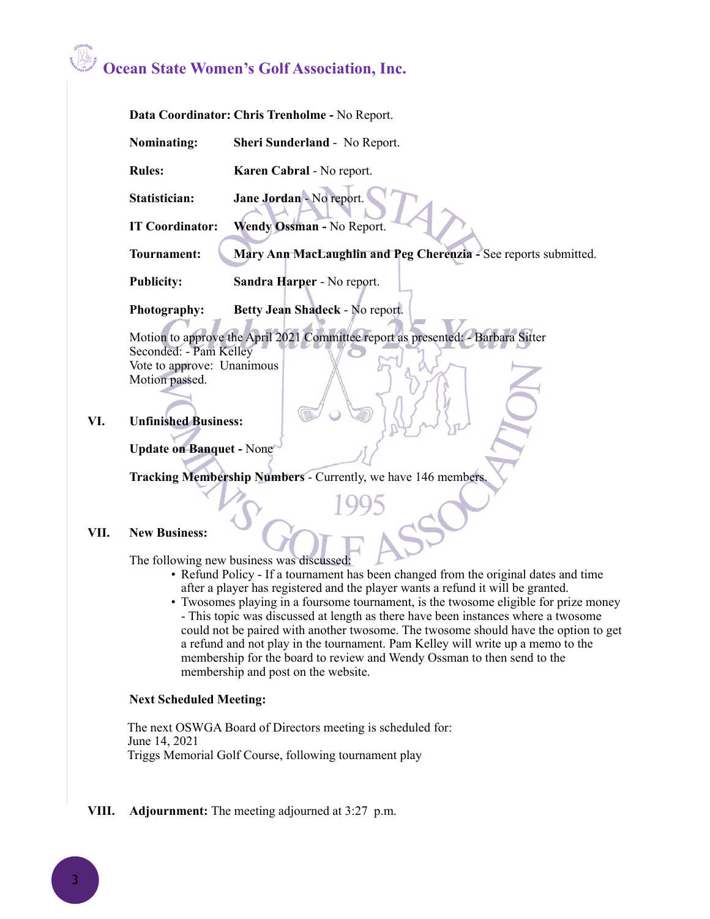**Data Coordinator: Chris Trenholme -** No Report. **Nominating: Sheri Sunderland** - No Report. **Rules: Karen Cabral - No report. Statistician: Jane Jordan** - No report. **IT Coordinator: Wendy Ossman -** No Report. **Tournament: Mary Ann MacLaughlin and Peg Cherenzia - See reports submitted. Publicity: Sandra Harper** - No report. **Photography: Betty Jean Shadeck** - No report. Motion to approve the April 2021 Committee report as presented: - Barbara Sitter Seconded: - Pam Kelley Vote to approve: Unanimous Motion passed.

**VI. Unfinished Business:** 

**Update on Banquet -** None

**Tracking Membership Numbers** - Currently, we have 146 members.

#### **VII. New Business:**

The following new business was discussed:

- Refund Policy If a tournament has been changed from the original dates and time after a player has registered and the player wants a refund it will be granted.
- Twosomes playing in a foursome tournament, is the twosome eligible for prize money - This topic was discussed at length as there have been instances where a twosome could not be paired with another twosome. The twosome should have the option to get a refund and not play in the tournament. Pam Kelley will write up a memo to the membership for the board to review and Wendy Ossman to then send to the membership and post on the website.

#### **Next Scheduled Meeting:**

 The next OSWGA Board of Directors meeting is scheduled for: June 14, 2021 Triggs Memorial Golf Course, following tournament play

**VIII. Adjournment:** The meeting adjourned at 3:27 p.m.